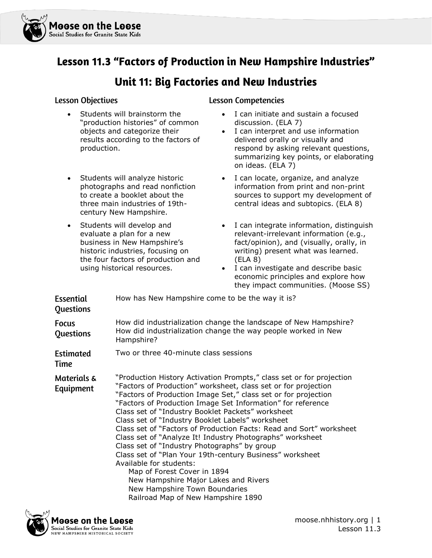

## Lesson 11.3 "Factors of Production in New Hampshire Industries"

## Unit 11: Big Factories and New Industries

#### **Lesson Objectives**

- Students will brainstorm the "production histories" of common objects and categorize their results according to the factors of production.
- Students will analyze historic photographs and read nonfiction to create a booklet about the three main industries of 19thcentury New Hampshire.
- Students will develop and evaluate a plan for a new business in New Hampshire's historic industries, focusing on the four factors of production and using historical resources.

#### **Lesson Competencies**

- I can initiate and sustain a focused discussion. (ELA 7)
- I can interpret and use information delivered orally or visually and respond by asking relevant questions, summarizing key points, or elaborating on ideas. (ELA 7)
- I can locate, organize, and analyze information from print and non-print sources to support my development of central ideas and subtopics. (ELA 8)
- I can integrate information, distinguish relevant-irrelevant information (e.g., fact/opinion), and (visually, orally, in writing) present what was learned. (ELA 8)
- I can investigate and describe basic economic principles and explore how they impact communities. (Moose SS)

| Essential<br>Questions    | How has New Hampshire come to be the way it is?                                                                                                                                                                                                                                                                                                                                                                                                                                                                                                                                                                                                                                                                                                                                                           |
|---------------------------|-----------------------------------------------------------------------------------------------------------------------------------------------------------------------------------------------------------------------------------------------------------------------------------------------------------------------------------------------------------------------------------------------------------------------------------------------------------------------------------------------------------------------------------------------------------------------------------------------------------------------------------------------------------------------------------------------------------------------------------------------------------------------------------------------------------|
| <b>Focus</b><br>Questions | How did industrialization change the landscape of New Hampshire?<br>How did industrialization change the way people worked in New<br>Hampshire?                                                                                                                                                                                                                                                                                                                                                                                                                                                                                                                                                                                                                                                           |
| <b>Estimated</b><br>Time  | Two or three 40-minute class sessions                                                                                                                                                                                                                                                                                                                                                                                                                                                                                                                                                                                                                                                                                                                                                                     |
| Materials &<br>Equipment  | "Production History Activation Prompts," class set or for projection<br>"Factors of Production" worksheet, class set or for projection<br>"Factors of Production Image Set," class set or for projection<br>"Factors of Production Image Set Information" for reference<br>Class set of "Industry Booklet Packets" worksheet<br>Class set of "Industry Booklet Labels" worksheet<br>Class set of "Factors of Production Facts: Read and Sort" worksheet<br>Class set of "Analyze It! Industry Photographs" worksheet<br>Class set of "Industry Photographs" by group<br>Class set of "Plan Your 19th-century Business" worksheet<br>Available for students:<br>Map of Forest Cover in 1894<br>New Hampshire Major Lakes and Rivers<br>New Hampshire Town Boundaries<br>Railroad Map of New Hampshire 1890 |

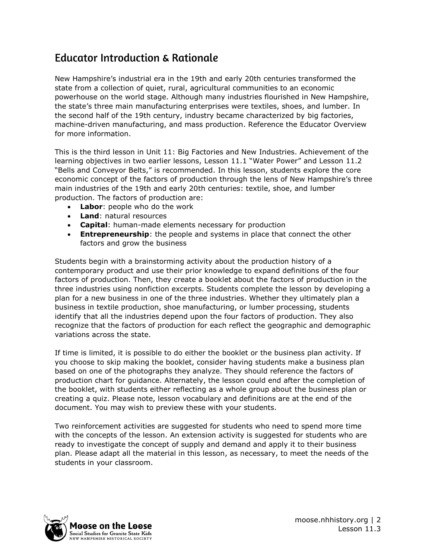## **Educator Introduction & Rationale**

New Hampshire's industrial era in the 19th and early 20th centuries transformed the state from a collection of quiet, rural, agricultural communities to an economic powerhouse on the world stage. Although many industries flourished in New Hampshire, the state's three main manufacturing enterprises were textiles, shoes, and lumber. In the second half of the 19th century, industry became characterized by big factories, machine-driven manufacturing, and mass production. Reference the Educator Overview for more information.

This is the third lesson in Unit 11: Big Factories and New Industries. Achievement of the learning objectives in two earlier lessons, Lesson 11.1 "Water Power" and Lesson 11.2 "Bells and Conveyor Belts," is recommended. In this lesson, students explore the core economic concept of the factors of production through the lens of New Hampshire's three main industries of the 19th and early 20th centuries: textile, shoe, and lumber production. The factors of production are:

- **Labor**: people who do the work
- **Land**: natural resources
- **Capital:** human-made elements necessary for production
- **Entrepreneurship:** the people and systems in place that connect the other factors and grow the business

Students begin with a brainstorming activity about the production history of a contemporary product and use their prior knowledge to expand definitions of the four factors of production. Then, they create a booklet about the factors of production in the three industries using nonfiction excerpts. Students complete the lesson by developing a plan for a new business in one of the three industries. Whether they ultimately plan a business in textile production, shoe manufacturing, or lumber processing, students identify that all the industries depend upon the four factors of production. They also recognize that the factors of production for each reflect the geographic and demographic variations across the state.

If time is limited, it is possible to do either the booklet or the business plan activity. If you choose to skip making the booklet, consider having students make a business plan based on one of the photographs they analyze. They should reference the factors of production chart for guidance. Alternately, the lesson could end after the completion of the booklet, with students either reflecting as a whole group about the business plan or creating a quiz. Please note, lesson vocabulary and definitions are at the end of the document. You may wish to preview these with your students.

Two reinforcement activities are suggested for students who need to spend more time with the concepts of the lesson. An extension activity is suggested for students who are ready to investigate the concept of supply and demand and apply it to their business plan. Please adapt all the material in this lesson, as necessary, to meet the needs of the students in your classroom.

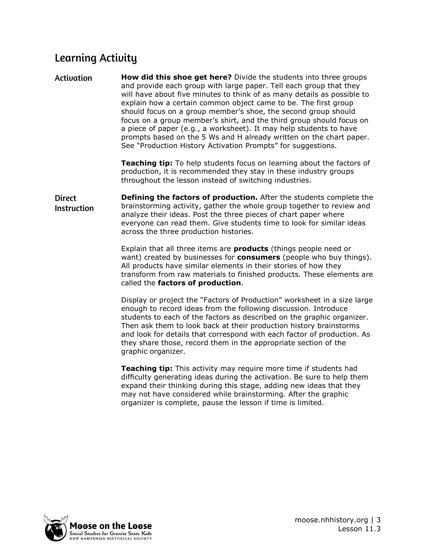# **Learning Activity**

**Activation How did this shoe get here?** Divide the students into three groups and provide each group with large paper. Tell each group that they will have about five minutes to think of as many details as possible to explain how a certain common object came to be. The first group should focus on a group member's shoe, the second group should focus on a group member's shirt, and the third group should focus on a piece of paper (e.g., a worksheet). It may help students to have prompts based on the 5 Ws and H already written on the chart paper. See "Production History Activation Prompts" for suggestions.

> **Teaching tip:** To help students focus on learning about the factors of production, it is recommended they stay in these industry groups throughout the lesson instead of switching industries.

**Defining the factors of production.** After the students complete the **Direct** brainstorming activity, gather the whole group together to review and **Instruction** analyze their ideas. Post the three pieces of chart paper where everyone can read them. Give students time to look for similar ideas across the three production histories.

> Explain that all three items are **products** (things people need or want) created by businesses for **consumers** (people who buy things). All products have similar elements in their stories of how they transform from raw materials to finished products. These elements are called the **factors of production**.

> Display or project the "Factors of Production" worksheet in a size large enough to record ideas from the following discussion. Introduce students to each of the factors as described on the graphic organizer. Then ask them to look back at their production history brainstorms and look for details that correspond with each factor of production. As they share those, record them in the appropriate section of the graphic organizer.

**Teaching tip:** This activity may require more time if students had difficulty generating ideas during the activation. Be sure to help them expand their thinking during this stage, adding new ideas that they may not have considered while brainstorming. After the graphic organizer is complete, pause the lesson if time is limited.

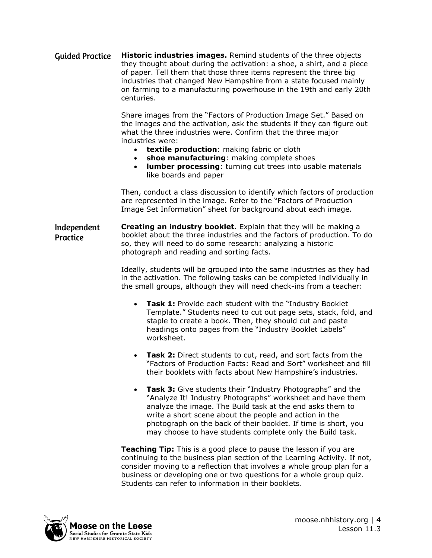**Historic industries images.** Remind students of the three objects **Guided Practice** they thought about during the activation: a shoe, a shirt, and a piece of paper. Tell them that those three items represent the three big industries that changed New Hampshire from a state focused mainly on farming to a manufacturing powerhouse in the 19th and early 20th centuries.

> Share images from the "Factors of Production Image Set." Based on the images and the activation, ask the students if they can figure out what the three industries were. Confirm that the three major industries were:

- **textile production**: making fabric or cloth
- **shoe manufacturing**: making complete shoes
- **lumber processing**: turning cut trees into usable materials like boards and paper

Then, conduct a class discussion to identify which factors of production are represented in the image. Refer to the "Factors of Production Image Set Information" sheet for background about each image.

**Creating an industry booklet.** Explain that they will be making a Independent booklet about the three industries and the factors of production. To do Practice so, they will need to do some research: analyzing a historic photograph and reading and sorting facts.

> Ideally, students will be grouped into the same industries as they had in the activation. The following tasks can be completed individually in the small groups, although they will need check-ins from a teacher:

- **Task 1:** Provide each student with the "Industry Booklet" Template." Students need to cut out page sets, stack, fold, and staple to create a book. Then, they should cut and paste headings onto pages from the "Industry Booklet Labels" worksheet.
- **Task 2:** Direct students to cut, read, and sort facts from the "Factors of Production Facts: Read and Sort" worksheet and fill their booklets with facts about New Hampshire's industries.
- **Task 3:** Give students their "Industry Photographs" and the "Analyze It! Industry Photographs" worksheet and have them analyze the image. The Build task at the end asks them to write a short scene about the people and action in the photograph on the back of their booklet. If time is short, you may choose to have students complete only the Build task.

**Teaching Tip:** This is a good place to pause the lesson if you are continuing to the business plan section of the Learning Activity. If not, consider moving to a reflection that involves a whole group plan for a business or developing one or two questions for a whole group quiz. Students can refer to information in their booklets.

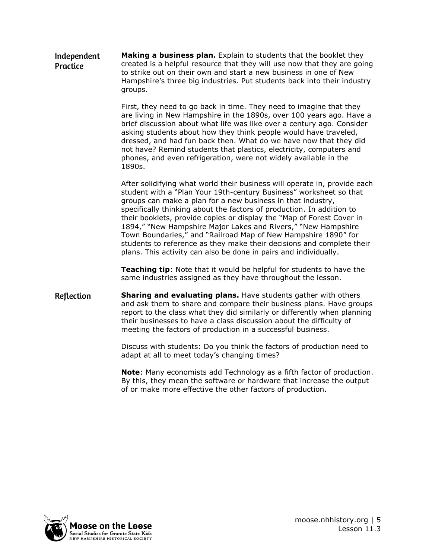Independent **Making a business plan.** Explain to students that the booklet they created is a helpful resource that they will use now that they are going **Practice** to strike out on their own and start a new business in one of New Hampshire's three big industries. Put students back into their industry groups.

> First, they need to go back in time. They need to imagine that they are living in New Hampshire in the 1890s, over 100 years ago. Have a brief discussion about what life was like over a century ago. Consider asking students about how they think people would have traveled, dressed, and had fun back then. What do we have now that they did not have? Remind students that plastics, electricity, computers and phones, and even refrigeration, were not widely available in the 1890s.

> After solidifying what world their business will operate in, provide each student with a "Plan Your 19th-century Business" worksheet so that groups can make a plan for a new business in that industry, specifically thinking about the factors of production. In addition to their booklets, provide copies or display the "Map of Forest Cover in 1894," "New Hampshire Major Lakes and Rivers," "New Hampshire Town Boundaries," and "Railroad Map of New Hampshire 1890" for students to reference as they make their decisions and complete their plans. This activity can also be done in pairs and individually.

**Teaching tip**: Note that it would be helpful for students to have the same industries assigned as they have throughout the lesson.

Reflection **Sharing and evaluating plans.** Have students gather with others and ask them to share and compare their business plans. Have groups report to the class what they did similarly or differently when planning their businesses to have a class discussion about the difficulty of meeting the factors of production in a successful business.

> Discuss with students: Do you think the factors of production need to adapt at all to meet today's changing times?

**Note**: Many economists add Technology as a fifth factor of production. By this, they mean the software or hardware that increase the output of or make more effective the other factors of production.

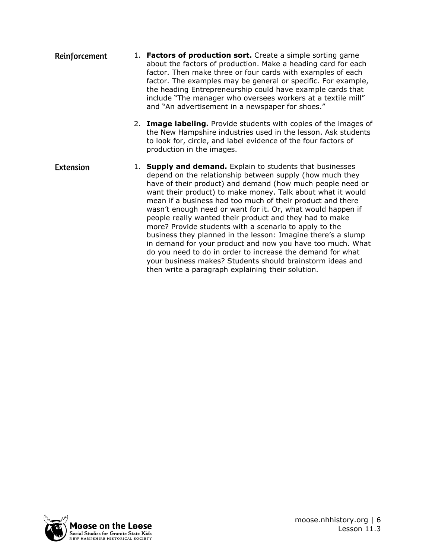- 1. **Factors of production sort.** Create a simple sorting game Reinforcement about the factors of production. Make a heading card for each factor. Then make three or four cards with examples of each factor. The examples may be general or specific. For example, the heading Entrepreneurship could have example cards that include "The manager who oversees workers at a textile mill" and "An advertisement in a newspaper for shoes."
	- 2. **Image labeling.** Provide students with copies of the images of the New Hampshire industries used in the lesson. Ask students to look for, circle, and label evidence of the four factors of production in the images.
- **Extension** 1. **Supply and demand.** Explain to students that businesses depend on the relationship between supply (how much they have of their product) and demand (how much people need or want their product) to make money. Talk about what it would mean if a business had too much of their product and there wasn't enough need or want for it. Or, what would happen if people really wanted their product and they had to make more? Provide students with a scenario to apply to the business they planned in the lesson: Imagine there's a slump in demand for your product and now you have too much. What do you need to do in order to increase the demand for what your business makes? Students should brainstorm ideas and then write a paragraph explaining their solution.

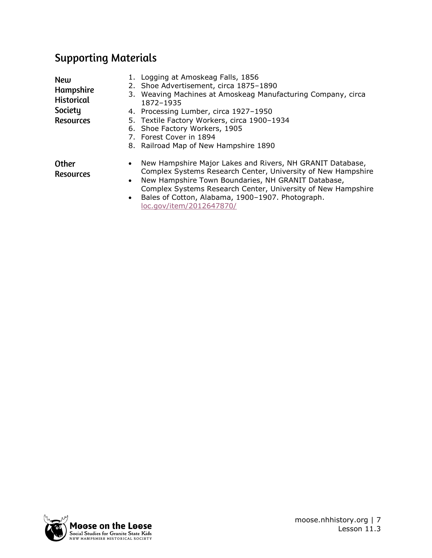# **Supporting Materials**

| <b>New</b><br>Hampshire<br><b>Historical</b><br>Society<br><b>Resources</b> |                                     | 1. Logging at Amoskeag Falls, 1856<br>2. Shoe Advertisement, circa 1875-1890<br>3. Weaving Machines at Amoskeag Manufacturing Company, circa<br>1872-1935<br>4. Processing Lumber, circa 1927-1950<br>5. Textile Factory Workers, circa 1900-1934<br>6. Shoe Factory Workers, 1905<br>7. Forest Cover in 1894<br>8. Railroad Map of New Hampshire 1890 |
|-----------------------------------------------------------------------------|-------------------------------------|--------------------------------------------------------------------------------------------------------------------------------------------------------------------------------------------------------------------------------------------------------------------------------------------------------------------------------------------------------|
| <b>Other</b><br><b>Resources</b>                                            | $\bullet$<br>$\bullet$<br>$\bullet$ | New Hampshire Major Lakes and Rivers, NH GRANIT Database,<br>Complex Systems Research Center, University of New Hampshire<br>New Hampshire Town Boundaries, NH GRANIT Database,<br>Complex Systems Research Center, University of New Hampshire<br>Bales of Cotton, Alabama, 1900-1907. Photograph.<br>loc.gov/item/2012647870/                        |

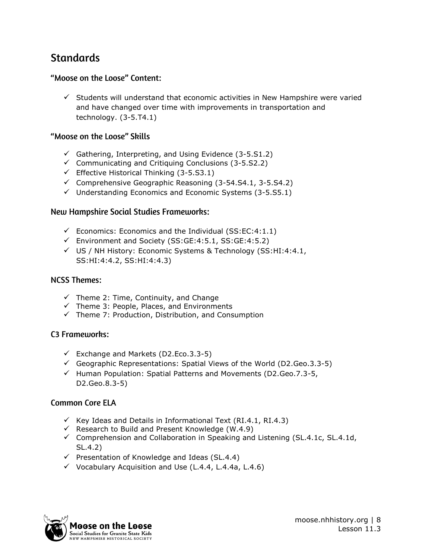# **Standards**

## "Moose on the Loose" Content:

 $\checkmark$  Students will understand that economic activities in New Hampshire were varied and have changed over time with improvements in transportation and technology. (3-5.T4.1)

## "Moose on the Loose" Skills

- $\checkmark$  Gathering, Interpreting, and Using Evidence (3-5.S1.2)
- $\checkmark$  Communicating and Critiquing Conclusions (3-5.S2.2)
- $\checkmark$  Effective Historical Thinking (3-5.S3.1)
- $\checkmark$  Comprehensive Geographic Reasoning (3-54. S4.1, 3-5. S4. 2)
- $\checkmark$  Understanding Economics and Economic Systems (3-5.55.1)

#### **New Hampshire Social Studies Frameworks:**

- $\checkmark$  Economics: Economics and the Individual (SS:EC:4:1.1)
- ✓ Environment and Society (SS:GE:4:5.1, SS:GE:4:5.2)
- $\checkmark$  US / NH History: Economic Systems & Technology (SS:HI:4:4.1, SS:HI:4:4.2, SS:HI:4:4.3)

#### **NCSS Themes:**

- $\checkmark$  Theme 2: Time, Continuity, and Change
- $\checkmark$  Theme 3: People, Places, and Environments
- $\checkmark$  Theme 7: Production, Distribution, and Consumption

### C<sub>3</sub> Frameworks:

- $\checkmark$  Exchange and Markets (D2.Eco.3.3-5)
- $\checkmark$  Geographic Representations: Spatial Views of the World (D2.Geo.3.3-5)
- $\checkmark$  Human Population: Spatial Patterns and Movements (D2.Geo.7.3-5, D2.Geo.8.3-5)

### **Common Core ELA**

- $\checkmark$  Key Ideas and Details in Informational Text (RI.4.1, RI.4.3)
- $\checkmark$  Research to Build and Present Knowledge (W.4.9)
- $\checkmark$  Comprehension and Collaboration in Speaking and Listening (SL.4.1c, SL.4.1d, SL.4.2)
- $\checkmark$  Presentation of Knowledge and Ideas (SL.4.4)
- $\checkmark$  Vocabulary Acquisition and Use (L.4.4, L.4.4a, L.4.6)